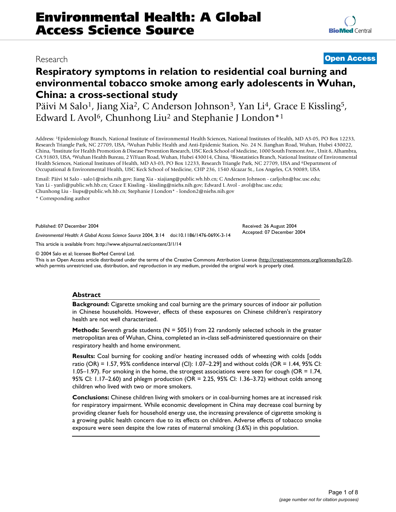# Research **[Open Access](http://www.biomedcentral.com/info/about/charter/)**

## **Respiratory symptoms in relation to residential coal burning and environmental tobacco smoke among early adolescents in Wuhan, China: a cross-sectional study**

Päivi M Salo<sup>1</sup>, Jiang Xia<sup>2</sup>, C Anderson Johnson<sup>3</sup>, Yan Li<sup>4</sup>, Grace E Kissling<sup>5</sup>, Edward L Avol<sup>6</sup>, Chunhong Liu<sup>2</sup> and Stephanie J London<sup>\*1</sup>

Address: 1Epidemiology Branch, National Institute of Environmental Health Sciences, National Institutes of Health, MD A3-05, PO Box 12233, Research Triangle Park, NC 27709, USA, 2Wuhan Public Health and Anti-Epidemic Station, No. 24 N. Jianghan Road, Wuhan, Hubei 430022, China, 3Institute for Health Promotion & Disease Prevention Research, USC Keck School of Medicine, 1000 South Fremont Ave., Unit 8, Alhambra, CA 91803, USA, 4Wuhan Health Bureau, 2 YiYuan Road, Wuhan, Hubei 430014, China, 5Biostatistics Branch, National Institute of Environmental Health Sciences, National Institutes of Health, MD A3-03, PO Box 12233, Research Triangle Park, NC 27709, USA and <sup>6</sup>Department of Occupational & Environmental Health, USC Keck School of Medicine, CHP 236, 1540 Alcazar St., Los Angeles, CA 90089, USA

Email: Päivi M Salo - salo1@niehs.nih.gov; Jiang Xia - xiajiang@public.wh.hb.cn; C Anderson Johnson - carljohn@hsc.usc.edu; Yan Li - yanli@public.wh.hb.cn; Grace E Kissling - kissling@niehs.nih.gov; Edward L Avol - avol@hsc.usc.edu; Chunhong Liu - liups@public.wh.hb.cn; Stephanie J London\* - london2@niehs.nih.gov

\* Corresponding author

Published: 07 December 2004

*Environmental Health: A Global Access Science Source* 2004, **3**:14 doi:10.1186/1476-069X-3-14

[This article is available from: http://www.ehjournal.net/content/3/1/14](http://www.ehjournal.net/content/3/1/14)

© 2004 Salo et al; licensee BioMed Central Ltd.

This is an Open Access article distributed under the terms of the Creative Commons Attribution License [\(http://creativecommons.org/licenses/by/2.0\)](http://creativecommons.org/licenses/by/2.0), which permits unrestricted use, distribution, and reproduction in any medium, provided the original work is properly cited.

#### **Abstract**

**Background:** Cigarette smoking and coal burning are the primary sources of indoor air pollution in Chinese households. However, effects of these exposures on Chinese children's respiratory health are not well characterized.

**Methods:** Seventh grade students (N = 5051) from 22 randomly selected schools in the greater metropolitan area of Wuhan, China, completed an in-class self-administered questionnaire on their respiratory health and home environment.

**Results:** Coal burning for cooking and/or heating increased odds of wheezing with colds [odds ratio (OR) = 1.57, 95% confidence interval (CI): 1.07–2.29] and without colds (OR = 1.44, 95% CI: 1.05–1.97). For smoking in the home, the strongest associations were seen for cough (OR = 1.74, 95% CI: 1.17–2.60) and phlegm production (OR = 2.25, 95% CI: 1.36–3.72) without colds among children who lived with two or more smokers.

**Conclusions:** Chinese children living with smokers or in coal-burning homes are at increased risk for respiratory impairment. While economic development in China may decrease coal burning by providing cleaner fuels for household energy use, the increasing prevalence of cigarette smoking is a growing public health concern due to its effects on children. Adverse effects of tobacco smoke exposure were seen despite the low rates of maternal smoking (3.6%) in this population.

Received: 26 August 2004 Accepted: 07 December 2004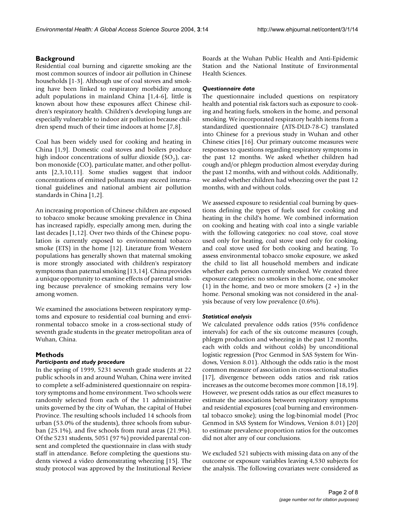#### **Background**

Residential coal burning and cigarette smoking are the most common sources of indoor air pollution in Chinese households [1-3]. Although use of coal stoves and smoking have been linked to respiratory morbidity among adult populations in mainland China [1,4-6], little is known about how these exposures affect Chinese children's respiratory health. Children's developing lungs are especially vulnerable to indoor air pollution because children spend much of their time indoors at home [7,8].

Coal has been widely used for cooking and heating in China [1,9]. Domestic coal stoves and boilers produce high indoor concentrations of sulfur dioxide  $(SO<sub>2</sub>)$ , carbon monoxide (CO), particulate matter, and other pollutants [2,3,10,11]. Some studies suggest that indoor concentrations of emitted pollutants may exceed international guidelines and national ambient air pollution standards in China [1,2].

An increasing proportion of Chinese children are exposed to tobacco smoke because smoking prevalence in China has increased rapidly, especially among men, during the last decades [1,12]. Over two thirds of the Chinese population is currently exposed to environmental tobacco smoke (ETS) in the home [12]. Literature from Western populations has generally shown that maternal smoking is more strongly associated with children's respiratory symptoms than paternal smoking [13,14]. China provides a unique opportunity to examine effects of parental smoking because prevalence of smoking remains very low among women.

We examined the associations between respiratory symptoms and exposure to residential coal burning and environmental tobacco smoke in a cross-sectional study of seventh grade students in the greater metropolitan area of Wuhan, China.

#### **Methods**

### *Participants and study procedure*

In the spring of 1999, 5231 seventh grade students at 22 public schools in and around Wuhan, China were invited to complete a self-administered questionnaire on respiratory symptoms and home environment. Two schools were randomly selected from each of the 11 administrative units governed by the city of Wuhan, the capital of Hubei Province. The resulting schools included 14 schools from urban (53.0% of the students), three schools from suburban (25.1%), and five schools from rural areas (21.9%). Of the 5231 students, 5051 (97 %) provided parental consent and completed the questionnaire in class with study staff in attendance. Before completing the questions students viewed a video demonstrating wheezing [15]. The study protocol was approved by the Institutional Review

Boards at the Wuhan Public Health and Anti-Epidemic Station and the National Institute of Environmental Health Sciences.

#### *Questionnaire data*

The questionnaire included questions on respiratory health and potential risk factors such as exposure to cooking and heating fuels, smokers in the home, and personal smoking. We incorporated respiratory health items from a standardized questionnaire (ATS-DLD-78-C) translated into Chinese for a previous study in Wuhan and other Chinese cities [16]. Our primary outcome measures were responses to questions regarding respiratory symptoms in the past 12 months. We asked whether children had cough and/or phlegm production almost everyday during the past 12 months, with and without colds. Additionally, we asked whether children had wheezing over the past 12 months, with and without colds.

We assessed exposure to residential coal burning by questions defining the types of fuels used for cooking and heating in the child's home. We combined information on cooking and heating with coal into a single variable with the following categories: no coal stove, coal stove used only for heating, coal stove used only for cooking, and coal stove used for both cooking and heating. To assess environmental tobacco smoke exposure, we asked the child to list all household members and indicate whether each person currently smoked. We created three exposure categories: no smokers in the home, one smoker (1) in the home, and two or more smokers  $(2 +)$  in the home. Personal smoking was not considered in the analysis because of very low prevalence (0.6%).

#### *Statistical analysis*

We calculated prevalence odds ratios (95% confidence intervals) for each of the six outcome measures (cough, phlegm production and wheezing in the past 12 months, each with colds and without colds) by unconditional logistic regression (Proc Genmod in SAS System for Windows, Version 8.01). Although the odds ratio is the most common measure of association in cross-sectional studies [17], divergence between odds ratios and risk ratios increases as the outcome becomes more common [18,19]. However, we present odds ratios as our effect measures to estimate the associations between respiratory symptoms and residential exposures (coal burning and environmental tobacco smoke); using the log-binomial model (Proc Genmod in SAS System for Windows, Version 8.01) [20] to estimate prevalence proportion ratios for the outcomes did not alter any of our conclusions.

We excluded 521 subjects with missing data on any of the outcome or exposure variables leaving 4,530 subjects for the analysis. The following covariates were considered as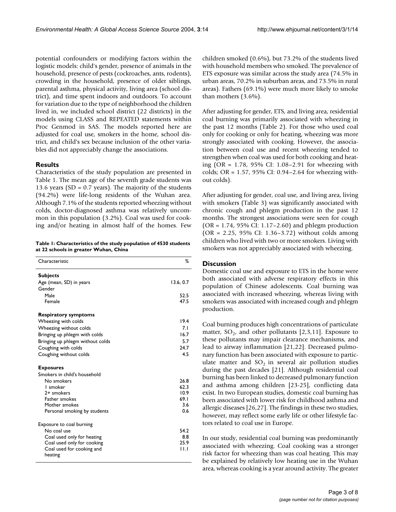potential confounders or modifying factors within the logistic models: child's gender, presence of animals in the household, presence of pests (cockroaches, ants, rodents), crowding in the household, presence of older siblings, parental asthma, physical activity, living area (school district), and time spent indoors and outdoors. To account for variation due to the type of neighborhood the children lived in, we included school district (22 districts) in the models using CLASS and REPEATED statements within Proc Genmod in SAS. The models reported here are adjusted for coal use, smokers in the home, school district, and child's sex because inclusion of the other variables did not appreciably change the associations.

#### **Results**

Characteristics of the study population are presented in Table 1. The mean age of the seventh grade students was 13.6 years (SD =  $0.7$  years). The majority of the students (94.2%) were life-long residents of the Wuhan area. Although 7.1% of the students reported wheezing without colds, doctor-diagnosed asthma was relatively uncommon in this population (3.2%). Coal was used for cooking and/or heating in almost half of the homes. Few

| Table 1: Characteristics of the study population of 4530 students |  |
|-------------------------------------------------------------------|--|
| at 22 schools in greater Wuhan, China                             |  |

| Characteristic                       | ℅        |
|--------------------------------------|----------|
| <b>Subjects</b>                      |          |
| Age (mean, SD) in years              | 13.6.0.7 |
| Gender                               |          |
| Male                                 | 52.5     |
| Female                               | 47.5     |
| <b>Respiratory symptoms</b>          |          |
| Wheezing with colds                  | 19.4     |
| Wheezing without colds               | 7.1      |
| Bringing up phlegm with colds        | 16.7     |
| Bringing up phlegm without colds     | 5.7      |
| Coughing with colds                  | 24.7     |
| Coughing without colds               | 4.5      |
| <b>Exposures</b>                     |          |
| Smokers in child's household         |          |
| No smokers                           | 26.8     |
| I smoker                             | 62.3     |
| 2+ smokers                           | 10.9     |
| Father smokes                        | 69.1     |
| Mother smokes                        | 3.6      |
| Personal smoking by students         | 0.6      |
| Exposure to coal burning             |          |
| No coal use                          | 54.2     |
| Coal used only for heating           | 8.8      |
| Coal used only for cooking           | 25.9     |
| Coal used for cooking and<br>heating | 11.1     |

children smoked (0.6%), but 73.2% of the students lived with household members who smoked. The prevalence of ETS exposure was similar across the study area (74.5% in urban areas, 70.2% in suburban areas, and 73.5% in rural areas). Fathers (69.1%) were much more likely to smoke than mothers (3.6%).

After adjusting for gender, ETS, and living area, residential coal burning was primarily associated with wheezing in the past 12 months (Table 2). For those who used coal only for cooking or only for heating, wheezing was more strongly associated with cooking. However, the association between coal use and recent wheezing tended to strengthen when coal was used for both cooking and heating (OR = 1.78, 95% CI: 1.08–2.91 for wheezing with colds; OR = 1.57, 95% CI: 0.94–2.64 for wheezing without colds).

After adjusting for gender, coal use, and living area, living with smokers (Table 3) was significantly associated with chronic cough and phlegm production in the past 12 months. The strongest associations were seen for cough (OR = 1.74, 95% CI: 1.17–2.60) and phlegm production (OR = 2.25, 95% CI: 1.36–3.72) without colds among children who lived with two or more smokers. Living with smokers was not appreciably associated with wheezing.

### **Discussion**

Domestic coal use and exposure to ETS in the home were both associated with adverse respiratory effects in this population of Chinese adolescents. Coal burning was associated with increased wheezing, whereas living with smokers was associated with increased cough and phlegm production.

Coal burning produces high concentrations of particulate matter,  $SO_2$ , and other pollutants [2,3,11]. Exposure to these pollutants may impair clearance mechanisms, and lead to airway inflammation [[21,](#page-6-0)22]. Decreased pulmonary function has been associated with exposure to particulate matter and  $SO_2$  in several air pollution studies during the past decades [\[21](#page-6-0)]. Although residential coal burning has been linked to decreased pulmonary function and asthma among children [23-25], conflicting data exist. In two European studies, domestic coal burning has been associated with lower risk for childhood asthma and allergic diseases [26,27]. The findings in these two studies, however, may reflect some early life or other lifestyle factors related to coal use in Europe.

In our study, residential coal burning was predominantly associated with wheezing. Coal cooking was a stronger risk factor for wheezing than was coal heating. This may be explained by relatively low heating use in the Wuhan area, whereas cooking is a year around activity. The greater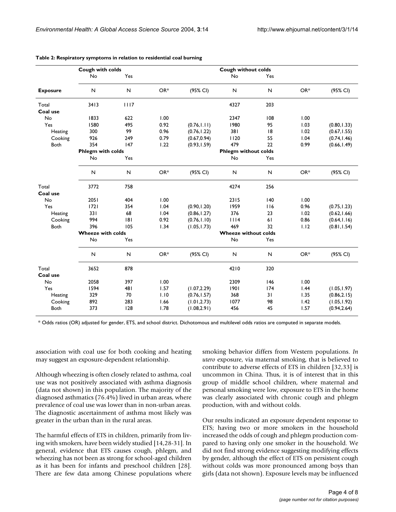|                 | Cough with colds         |              |       |              | Cough without colds         |              |                   |              |
|-----------------|--------------------------|--------------|-------|--------------|-----------------------------|--------------|-------------------|--------------|
|                 | No                       | Yes          |       |              | No                          | Yes          |                   |              |
| <b>Exposure</b> | N                        | $\mathsf{N}$ | OR*   | (95% CI)     | $\mathsf{N}$                | N            | $OR*$             | (95% CI)     |
| Total           | 3413                     | 1117         |       |              | 4327                        | 203          |                   |              |
| Coal use        |                          |              |       |              |                             |              |                   |              |
| No              | 1833                     | 622          | 1.00  |              | 2347                        | 108          | 1.00              |              |
| Yes             | 1580                     | 495          | 0.92  | (0.76, 1.11) | 1980                        | 95           | 1.03              | (0.80, 1.33) |
| Heating         | 300                      | 99           | 0.96  | (0.76, 1.22) | 381                         | 8            | 1.02              | (0.67, 1.55) |
| Cooking         | 926                      | 249          | 0.79  | (0.67, 0.94) | 1120                        | 55           | 1.04              | (0.74, 1.46) |
| Both            | 354                      | 147          | 1.22  | (0.93, 1.59) | 479                         | 22           | 0.99              | (0.66, 1.49) |
|                 | Phlegm with colds        |              |       |              | <b>Phlegm without colds</b> |              |                   |              |
|                 | No                       | Yes          |       |              | No                          | Yes          |                   |              |
|                 | N                        | ${\sf N}$    | $OR*$ | (95% CI)     | $\mathsf{N}$                | $\mathsf{N}$ | OR*               | (95% CI)     |
| Total           | 3772                     | 758          |       |              | 4274                        | 256          |                   |              |
| Coal use        |                          |              |       |              |                             |              |                   |              |
| No              | 2051                     | 404          | 1.00  |              | 2315                        | 140          | 1.00              |              |
| Yes             | 1721                     | 354          | 1.04  | (0.90, 1.20) | 1959                        | 116          | 0.96              | (0.75, 1.23) |
| Heating         | 331                      | 68           | 1.04  | (0.86, 1.27) | 376                         | 23           | 1.02              | (0.62, 1.66) |
| Cooking         | 994                      | 8            | 0.92  | (0.76, 1.10) | 1114                        | 61           | 0.86              | (0.64, 1.16) |
| Both            | 396                      | 105          | 1.34  | (1.05, 1.73) | 469                         | 32           | 1.12              | (0.81, 1.54) |
|                 | <b>Wheeze with colds</b> |              |       |              | <b>Wheeze without colds</b> |              |                   |              |
|                 | No                       | Yes          |       |              | No                          | Yes          |                   |              |
|                 | N                        | N            | OR*   | (95% CI)     | $\mathsf{N}$                | N            | OR*               | (95% CI)     |
| Total           | 3652                     | 878          |       |              | 4210                        | 320          |                   |              |
| Coal use        |                          |              |       |              |                             |              |                   |              |
| No              | 2058                     | 397          | 1.00  |              | 2309                        | 146          | 1.00              |              |
| Yes             | 1594                     | 481          | 1.57  | (1.07, 2.29) | 1901                        | 174          | $\overline{1.44}$ | (1.05, 1.97) |
| Heating         | 329                      | 70           | 1.10  | (0.76, 1.57) | 368                         | 31           | 1.35              | (0.86, 2.15) |
| Cooking         | 892                      | 283          | 1.66  | (1.01, 2.73) | 1077                        | 98           | 1.42              | (1.05, 1.92) |
| Both            | 373                      | 128          | 1.78  | (1.08, 2.91) | 456                         | 45           | 1.57              | (0.94, 2.64) |

#### **Table 2: Respiratory symptoms in relation to residential coal burning**

\* Odds ratios (OR) adjusted for gender, ETS, and school district. Dichotomous and multilevel odds ratios are computed in separate models.

association with coal use for both cooking and heating may suggest an exposure-dependent relationship.

Although wheezing is often closely related to asthma, coal use was not positively associated with asthma diagnosis (data not shown) in this population. The majority of the diagnosed asthmatics (76.4%) lived in urban areas, where prevalence of coal use was lower than in non-urban areas. The diagnostic ascertainment of asthma most likely was greater in the urban than in the rural areas.

The harmful effects of ETS in children, primarily from living with smokers, have been widely studied [14,28-31]. In general, evidence that ETS causes cough, phlegm, and wheezing has not been as strong for school-aged children as it has been for infants and preschool children [28]. There are few data among Chinese populations where smoking behavior differs from Western populations. *In utero* exposure, via maternal smoking, that is believed to contribute to adverse effects of ETS in children [32,33] is uncommon in China. Thus, it is of interest that in this group of middle school children, where maternal and personal smoking were low, exposure to ETS in the home was clearly associated with chronic cough and phlegm production, with and without colds.

Our results indicated an exposure dependent response to ETS; having two or more smokers in the household increased the odds of cough and phlegm production compared to having only one smoker in the household. We did not find strong evidence suggesting modifying effects by gender, although the effect of ETS on persistent cough without colds was more pronounced among boys than girls (data not shown). Exposure levels may be influenced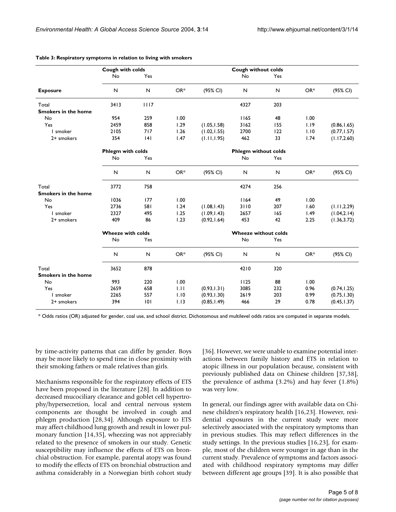|                            | Cough with colds         |      |       |                             | <b>Cough without colds</b> |     |       |              |
|----------------------------|--------------------------|------|-------|-----------------------------|----------------------------|-----|-------|--------------|
|                            | No                       | Yes  |       |                             | No                         | Yes |       |              |
| <b>Exposure</b>            | N                        | N    | OR*   | (95% CI)                    | $\mathsf{N}$               | N   | OR*   | (95% CI)     |
| Total                      | 3413                     | 1117 |       |                             | 4327                       | 203 |       |              |
| <b>Smokers in the home</b> |                          |      |       |                             |                            |     |       |              |
| No                         | 954                      | 259  | 1.00  |                             | 1165                       | 48  | 1.00  |              |
| Yes                        | 2459                     | 858  | 1.29  | (1.05, 1.58)                | 3162                       | 155 | 1.19  | (0.86, 1.65) |
| I smoker                   | 2105                     | 717  | 1.26  | (1.02, 1.55)                | 2700                       | 122 | 1.10  | (0.77, 1.57) |
| 2+ smokers                 | 354                      | 4    | 1.47  | (1.11, 1.95)                | 462                        | 33  | 1.74  | (1.17, 2.60) |
|                            | <b>Phlegm with colds</b> |      |       | <b>Phlegm without colds</b> |                            |     |       |              |
|                            | No                       | Yes  |       |                             | No                         | Yes |       |              |
|                            | N                        | N    | $OR*$ | (95% CI)                    | N                          | N   | $OR*$ | (95% CI)     |
| Total                      | 3772                     | 758  |       |                             | 4274                       | 256 |       |              |
| <b>Smokers in the home</b> |                          |      |       |                             |                            |     |       |              |
| No                         | 1036                     | 177  | 1.00  |                             | 1164                       | 49  | 1.00  |              |
| Yes                        | 2736                     | 581  | 1.24  | (1.08, 1.43)                | 3110                       | 207 | 1.60  | (1.11, 2.29) |
| I smoker                   | 2327                     | 495  | 1.25  | (1.09, 1.43)                | 2657                       | 165 | 1.49  | (1.04, 2.14) |
| 2+ smokers                 | 409                      | 86   | 1.23  | (0.92, 1.64)                | 453                        | 42  | 2.25  | (1.36, 3.72) |
|                            | <b>Wheeze with colds</b> |      |       | <b>Wheeze without colds</b> |                            |     |       |              |
|                            | No                       | Yes  |       |                             | No                         | Yes |       |              |
|                            | N                        | N    | OR*   | (95% CI)                    | N                          | N   | OR*   | (95% CI)     |
| Total                      | 3652                     | 878  |       |                             | 4210                       | 320 |       |              |
| <b>Smokers in the home</b> |                          |      |       |                             |                            |     |       |              |
| No                         | 993                      | 220  | 1.00  |                             | 1125                       | 88  | 1.00  |              |
| Yes                        | 2659                     | 658  | 1.11  | (0.93, 1.31)                | 3085                       | 232 | 0.96  | (0.74, 1.25) |
| I smoker                   | 2265                     | 557  | 1.10  | (0.93, 1.30)                | 2619                       | 203 | 0.99  | (0.75, 1.30) |
| 2+ smokers                 | 394                      | 101  | 1.13  | (0.85, 1.49)                | 466                        | 29  | 0.78  | (0.45, 1.37) |

#### **Table 3: Respiratory symptoms in relation to living with smokers**

\* Odds ratios (OR) adjusted for gender, coal use, and school district. Dichotomous and multilevel odds ratios are computed in separate models.

by time-activity patterns that can differ by gender. Boys may be more likely to spend time in close proximity with their smoking fathers or male relatives than girls.

Mechanisms responsible for the respiratory effects of ETS have been proposed in the literature [28]. In addition to decreased mucociliary clearance and goblet cell hypertrophy/hypersecretion, local and central nervous system components are thought be involved in cough and phlegm production [28,34]. Although exposure to ETS may affect childhood lung growth and result in lower pulmonary function [14,35], wheezing was not appreciably related to the presence of smokers in our study. Genetic susceptibility may influence the effects of ETS on bronchial obstruction. For example, parental atopy was found to modify the effects of ETS on bronchial obstruction and asthma considerably in a Norwegian birth cohort study [36]. However, we were unable to examine potential interactions between family history and ETS in relation to atopic illness in our population because, consistent with previously published data on Chinese children [37,38], the prevalence of asthma (3.2%) and hay fever (1.8%) was very low.

In general, our findings agree with available data on Chinese children's respiratory health [16,23]. However, residential exposures in the current study were more selectively associated with the respiratory symptoms than in previous studies. This may reflect differences in the study settings. In the previous studies [16,23], for example, most of the children were younger in age than in the current study. Prevalence of symptoms and factors associated with childhood respiratory symptoms may differ between different age groups [39]. It is also possible that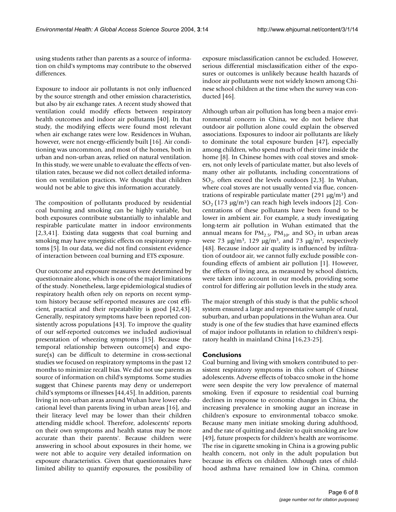using students rather than parents as a source of information on child's symptoms may contribute to the observed differences.

Exposure to indoor air pollutants is not only influenced by the source strength and other emission characteristics, but also by air exchange rates. A recent study showed that ventilation could modify effects between respiratory health outcomes and indoor air pollutants [40]. In that study, the modifying effects were found most relevant when air exchange rates were low. Residences in Wuhan, however, were not energy-efficiently built [16]. Air conditioning was uncommon, and most of the homes, both in urban and non-urban areas, relied on natural ventilation. In this study, we were unable to evaluate the effects of ventilation rates, because we did not collect detailed information on ventilation practices. We thought that children would not be able to give this information accurately.

The composition of pollutants produced by residential coal burning and smoking can be highly variable, but both exposures contribute substantially to inhalable and respirable particulate matter in indoor environments [2,3,41]. Existing data suggests that coal burning and smoking may have synergistic effects on respiratory symptoms [5]. In our data, we did not find consistent evidence of interaction between coal burning and ETS exposure.

Our outcome and exposure measures were determined by questionnaire alone, which is one of the major limitations of the study. Nonetheless, large epidemiological studies of respiratory health often rely on reports on recent symptom history because self-reported measures are cost efficient, practical and their repeatability is good [42,43]. Generally, respiratory symptoms have been reported consistently across populations [43]. To improve the quality of our self-reported outcomes we included audiovisual presentation of wheezing symptoms [15]. Because the temporal relationship between outcome(s) and exposure(s) can be difficult to determine in cross-sectional studies we focused on respiratory symptoms in the past 12 months to minimize recall bias. We did not use parents as source of information on child's symptoms. Some studies suggest that Chinese parents may deny or underreport child's symptoms or illnesses [44,45]. In addition, parents living in non-urban areas around Wuhan have lower educational level than parents living in urban areas [16], and their literacy level may be lower than their children attending middle school. Therefore, adolescents' reports on their own symptoms and health status may be more accurate than their parents'. Because children were answering in school about exposures in their home, we were not able to acquire very detailed information on exposure characteristics. Given that questionnaires have limited ability to quantify exposures, the possibility of exposure misclassification cannot be excluded. However, serious differential misclassification either of the exposures or outcomes is unlikely because health hazards of indoor air pollutants were not widely known among Chinese school children at the time when the survey was conducted [46].

Although urban air pollution has long been a major environmental concern in China, we do not believe that outdoor air pollution alone could explain the observed associations. Exposures to indoor air pollutants are likely to dominate the total exposure burden [47], especially among children, who spend much of their time inside the home [8]. In Chinese homes with coal stoves and smokers, not only levels of particulate matter, but also levels of many other air pollutants, including concentrations of  $SO<sub>2</sub>$ , often exceed the levels outdoors [2,3]. In Wuhan, where coal stoves are not usually vented via flue, concentrations of respirable particulate matter (291  $\mu$ g/m<sup>3</sup>) and  $SO<sub>2</sub>$  (173 µg/m<sup>3</sup>) can reach high levels indoors [2]. Concentrations of these pollutants have been found to be lower in ambient air. For example, a study investigating long-term air pollution in Wuhan estimated that the annual means for  $PM_{2.5}$ ,  $PM_{10}$ , and  $SO_2$  in urban areas were 73  $\mu$ g/m<sup>3</sup>, 129  $\mu$ g/m<sup>3</sup>, and 73  $\mu$ g/m<sup>3</sup>, respectively [48]. Because indoor air quality is influenced by infiltration of outdoor air, we cannot fully exclude possible confounding effects of ambient air pollution [1]. However, the effects of living area, as measured by school districts, were taken into account in our models, providing some control for differing air pollution levels in the study area.

The major strength of this study is that the public school system ensured a large and representative sample of rural, suburban, and urban populations in the Wuhan area. Our study is one of the few studies that have examined effects of major indoor pollutants in relation to children's respiratory health in mainland China [16,23-25].

#### **Conclusions**

Coal burning and living with smokers contributed to persistent respiratory symptoms in this cohort of Chinese adolescents. Adverse effects of tobacco smoke in the home were seen despite the very low prevalence of maternal smoking. Even if exposure to residential coal burning declines in response to economic changes in China, the increasing prevalence in smoking augur an increase in children's exposure to environmental tobacco smoke. Because many men initiate smoking during adulthood, and the rate of quitting and desire to quit smoking are low [49], future prospects for children's health are worrisome. The rise in cigarette smoking in China is a growing public health concern, not only in the adult population but because its effects on children. Although rates of childhood asthma have remained low in China, common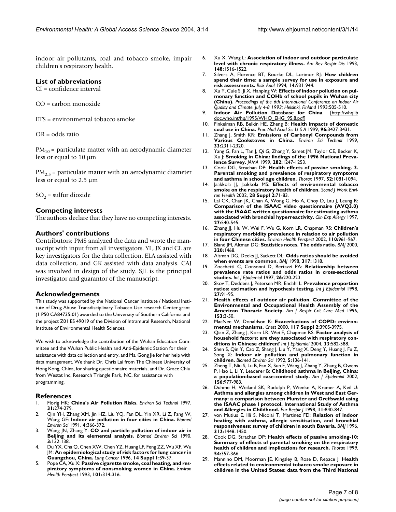indoor air pollutants, coal and tobacco smoke, impair children's respiratory health.

#### **List of abbreviations**

CI = confidence interval

CO = carbon monoxide

ETS = environmental tobacco smoke

OR = odds ratio

 $PM_{10}$  = particulate matter with an aerodynamic diameter less or equal to 10 µm

 $PM_{2.5}$  = particulate matter with an aerodynamic diameter less or equal to 2.5 µm

 $SO_2$  = sulfur dioxide

#### **Competing interests**

The authors declare that they have no competing interests.

#### **Authors' contributions**

Contributors: PMS analyzed the data and wrote the manuscript with input from all investigators. YL, JX and CL are key investigators for the data collection. ELA assisted with data collection, and GK assisted with data analysis. CAJ was involved in design of the study. SJL is the principal investigator and guarantor of the manuscript.

#### **Acknowledgements**

This study was supported by the National Cancer Institute / National Institute of Drug Abuse Transdisciplinary Tobacco Use research Center grant (1 P50 CA84735-01) awarded to the University of Southern California and the project Z01 ES 49019 of the Division of Intramural Research, National Institute of Environmental Health Sciences.

We wish to acknowledge the contribution of the Wuhan Education Committee and the Wuhan Public Health and Anti-Epidemic Station for their assistance with data collection and entry, and Ms. Gong Jie for her help with data management. We thank Dr. Chris Lai from The Chinese University of Hong Kong, China, for sharing questionnaire materials, and Dr. Grace Chiu from Westat Inc, Research Triangle Park, NC, for assistance with programming.

#### **References**

- 1. Florig HK: **China's Air Pollution Risks.** *Environ Sci Technol* 1997, **31:**274-279.
- 2. Qin YH, Zhang XM, Jin HZ, Liu YQ, Fan DL, Yin XR, Li Z, Fang W, Wang GF: **[Indoor air pollution in four cities in China.](http://www.ncbi.nlm.nih.gov/entrez/query.fcgi?cmd=Retrieve&db=PubMed&dopt=Abstract&list_uids=1781931)** *Biomed Environ Sci* 1991, **4:**366-372.
- 3. Wang JN, Zhang Y: **[CO and particle pollution of indoor air in](http://www.ncbi.nlm.nih.gov/entrez/query.fcgi?cmd=Retrieve&db=PubMed&dopt=Abstract&list_uids=2099786) [Beijing and its elemental analysis.](http://www.ncbi.nlm.nih.gov/entrez/query.fcgi?cmd=Retrieve&db=PubMed&dopt=Abstract&list_uids=2099786)** *Biomed Environ Sci* 1990, **3:**132-138.
- Du YX, Cha Q, Chen XW, Chen YZ, Huang LF, Feng ZZ, Wu XF, Wu JM: **[An epidemiological study of risk factors for lung cancer in](http://www.ncbi.nlm.nih.gov/entrez/query.fcgi?cmd=Retrieve&db=PubMed&dopt=Abstract&list_uids=8785671) [Guangzhou, China.](http://www.ncbi.nlm.nih.gov/entrez/query.fcgi?cmd=Retrieve&db=PubMed&dopt=Abstract&list_uids=8785671)** *Lung Cancer* 1996, **14 Suppl 1:**S9-37.
- 5. Pope CA, Xu X: **[Passive cigarette smoke, coal heating, and res](http://www.ncbi.nlm.nih.gov/entrez/query.fcgi?cmd=Retrieve&db=PubMed&dopt=Abstract&list_uids=8275988)[piratory symptoms of nonsmoking women in China.](http://www.ncbi.nlm.nih.gov/entrez/query.fcgi?cmd=Retrieve&db=PubMed&dopt=Abstract&list_uids=8275988)** *Environ Health Perspect* 1993, **101:**314-316.
- 6. Xu X, Wang L: **[Association of indoor and outdoor particulate](http://www.ncbi.nlm.nih.gov/entrez/query.fcgi?cmd=Retrieve&db=PubMed&dopt=Abstract&list_uids=8256893) [level with chronic respiratory illness.](http://www.ncbi.nlm.nih.gov/entrez/query.fcgi?cmd=Retrieve&db=PubMed&dopt=Abstract&list_uids=8256893)** *Am Rev Respir Dis* 1993, **148:**1516-1522.
- 7. Silvers A, Florence BT, Rourke DL, Lorimor RJ: **[How children](http://www.ncbi.nlm.nih.gov/entrez/query.fcgi?cmd=Retrieve&db=PubMed&dopt=Abstract&list_uids=7846329) [spend their time: a sample survey for use in exposure and](http://www.ncbi.nlm.nih.gov/entrez/query.fcgi?cmd=Retrieve&db=PubMed&dopt=Abstract&list_uids=7846329) [risk assessments.](http://www.ncbi.nlm.nih.gov/entrez/query.fcgi?cmd=Retrieve&db=PubMed&dopt=Abstract&list_uids=7846329)** *Risk Anal* 1994, **14:**931-944.
- 8. Xu Y, Cuie S, Ji X, Hanping W: **Effects of indoor pollution on pulmonary function and COHb of school pupils in Wuhan city (China).** *Proceedings of the 6th International Conference on Indoor Air Quality and Climate. July 4-8 1993; Helsinki, Finland* 1993:505-510.
- 9. **Indoor Air Pollution Database for China** [\[http://whqlib](http://whqlibdoc.who.int/hq/1995/WHO_EHG_95.8.pdf) [doc.who.int/hq/1995/WHO\\_EHG\\_95.8.pdf\]](http://whqlibdoc.who.int/hq/1995/WHO_EHG_95.8.pdf)
- 10. Finkelman RB, Belkin HE, Zheng B: **[Health impacts of domestic](http://www.ncbi.nlm.nih.gov/entrez/query.fcgi?cmd=Retrieve&db=PubMed&dopt=Abstract&list_uids=10097053) [coal use in China.](http://www.ncbi.nlm.nih.gov/entrez/query.fcgi?cmd=Retrieve&db=PubMed&dopt=Abstract&list_uids=10097053)** *Proc Natl Acad Sci U S A* 1999, **96:**3427-3431.
- 11. Zhang J, Smith KR: **Emissions of Carbonyl Compounds from Various Cookstoves in China.** *Environ Sci Technol* 1999, **33:**2311-2320.
- 12. Yang G, Fan L, Tan J, Qi G, Zhang Y, Samet JM, Taylor CE, Becker K, Xu J: **[Smoking in China: findings of the 1996 National Preva](http://www.ncbi.nlm.nih.gov/entrez/query.fcgi?cmd=Retrieve&db=PubMed&dopt=Abstract&list_uids=10517427)[lence Survey.](http://www.ncbi.nlm.nih.gov/entrez/query.fcgi?cmd=Retrieve&db=PubMed&dopt=Abstract&list_uids=10517427)** *JAMA* 1999, **282:**1247-1253.
- 13. Cook DG, Strachan DP: **[Health effects of passive smoking. 3.](http://www.ncbi.nlm.nih.gov/entrez/query.fcgi?cmd=Retrieve&db=PubMed&dopt=Abstract&list_uids=9516904) [Parental smoking and prevalence of respiratory symptoms](http://www.ncbi.nlm.nih.gov/entrez/query.fcgi?cmd=Retrieve&db=PubMed&dopt=Abstract&list_uids=9516904) [and asthma in school age children.](http://www.ncbi.nlm.nih.gov/entrez/query.fcgi?cmd=Retrieve&db=PubMed&dopt=Abstract&list_uids=9516904)** *Thorax* 1997, **52:**1081-1094.
- 14. Jaakkola JJ, Jaakkola MS: **[Effects of environmental tobacco](http://www.ncbi.nlm.nih.gov/entrez/query.fcgi?cmd=Retrieve&db=PubMed&dopt=Abstract&list_uids=12058805) [smoke on the respiratory health of children.](http://www.ncbi.nlm.nih.gov/entrez/query.fcgi?cmd=Retrieve&db=PubMed&dopt=Abstract&list_uids=12058805)** *Scand J Work Environ Health* 2002, **28 Suppl 2:**71-83.
- 15. Lai CK, Chan JK, Chan A, Wong G, Ho A, Choy D, Lau J, Leung R: **[Comparison of the ISAAC video questionnaire \(AVQ3.0\)](http://www.ncbi.nlm.nih.gov/entrez/query.fcgi?cmd=Retrieve&db=PubMed&dopt=Abstract&list_uids=9179428) with the ISAAC written questionnaire for estimating asthma [associated with bronchial hyperreactivity.](http://www.ncbi.nlm.nih.gov/entrez/query.fcgi?cmd=Retrieve&db=PubMed&dopt=Abstract&list_uids=9179428)** *Clin Exp Allergy* 1997, **27:**540-545.
- 16. Zhang JJ, Hu W, Wei F, Wu G, Korn LR, Chapman RS: **[Children's](http://www.ncbi.nlm.nih.gov/entrez/query.fcgi?cmd=Retrieve&db=PubMed&dopt=Abstract&list_uids=12204833) [respiratory morbidity prevalence in relation to air pollution](http://www.ncbi.nlm.nih.gov/entrez/query.fcgi?cmd=Retrieve&db=PubMed&dopt=Abstract&list_uids=12204833) [in four Chinese cities.](http://www.ncbi.nlm.nih.gov/entrez/query.fcgi?cmd=Retrieve&db=PubMed&dopt=Abstract&list_uids=12204833)** *Environ Health Perspect* 2002, **110:**961-967.
- 17. Bland JM, Altman DG: **[Statistics notes. The odds ratio.](http://www.ncbi.nlm.nih.gov/entrez/query.fcgi?cmd=Retrieve&db=PubMed&dopt=Abstract&list_uids=10827061)** *BMJ* 2000, **320:**1468.
- 18. Altman DG, Deeks JJ, Sackett DL: **[Odds ratios should be avoided](http://www.ncbi.nlm.nih.gov/entrez/query.fcgi?cmd=Retrieve&db=PubMed&dopt=Abstract&list_uids=9804732) [when events are common.](http://www.ncbi.nlm.nih.gov/entrez/query.fcgi?cmd=Retrieve&db=PubMed&dopt=Abstract&list_uids=9804732)** *BMJ* 1998, **317:**1318.
- 19. Zocchetti C, Consonni D, Bertazzi PA: **[Relationship between](http://www.ncbi.nlm.nih.gov/entrez/query.fcgi?cmd=Retrieve&db=PubMed&dopt=Abstract&list_uids=9126523) [prevalence rate ratios and odds ratios in cross-sectional](http://www.ncbi.nlm.nih.gov/entrez/query.fcgi?cmd=Retrieve&db=PubMed&dopt=Abstract&list_uids=9126523) [studies.](http://www.ncbi.nlm.nih.gov/entrez/query.fcgi?cmd=Retrieve&db=PubMed&dopt=Abstract&list_uids=9126523)** *Int J Epidemiol* 1997, **26:**220-223.
- 20. Skov T, Deddens J, Petersen MR, Endahl L: [Prevalence proportion](http://www.ncbi.nlm.nih.gov/entrez/query.fcgi?cmd=Retrieve&db=PubMed&dopt=Abstract&list_uids=9563700) **[ratios: estimation and hypothesis testing.](http://www.ncbi.nlm.nih.gov/entrez/query.fcgi?cmd=Retrieve&db=PubMed&dopt=Abstract&list_uids=9563700)** *Int J Epidemiol* 1998, **27:**91-95.
- <span id="page-6-0"></span>21. **[Health effects of outdoor air pollution. Committee of the](http://www.ncbi.nlm.nih.gov/entrez/query.fcgi?cmd=Retrieve&db=PubMed&dopt=Abstract&list_uids=8542133) [Environmental and Occupational Health Assembly of the](http://www.ncbi.nlm.nih.gov/entrez/query.fcgi?cmd=Retrieve&db=PubMed&dopt=Abstract&list_uids=8542133) [American Thoracic Society.](http://www.ncbi.nlm.nih.gov/entrez/query.fcgi?cmd=Retrieve&db=PubMed&dopt=Abstract&list_uids=8542133)** *Am J Respir Crit Care Med* 1996, **153:**3-50.
- 22. MacNee W, Donaldson K: **Exacerbations of COPD: environmental mechanisms.** *Chest* 2000, **117 Suppl 2:**390S-397S.
- 23. Qian Z, Zhang J, Korn LR, Wei F, Chapman RS: **[Factor analysis of](http://www.ncbi.nlm.nih.gov/entrez/query.fcgi?cmd=Retrieve&db=PubMed&dopt=Abstract&list_uids=15166210) [household factors: are they associated with respiratory con](http://www.ncbi.nlm.nih.gov/entrez/query.fcgi?cmd=Retrieve&db=PubMed&dopt=Abstract&list_uids=15166210)[ditions in Chinese children?](http://www.ncbi.nlm.nih.gov/entrez/query.fcgi?cmd=Retrieve&db=PubMed&dopt=Abstract&list_uids=15166210)** *Int J Epidemiol* 2004, **33:**582-588.
- 24. Shen S, Qin Y, Cao Z, Shang J, Liu Y, Yang X, Deng Y, Huang J, Fu Z, Song X: **[Indoor air pollution and pulmonary function in](http://www.ncbi.nlm.nih.gov/entrez/query.fcgi?cmd=Retrieve&db=PubMed&dopt=Abstract&list_uids=1642787) [children.](http://www.ncbi.nlm.nih.gov/entrez/query.fcgi?cmd=Retrieve&db=PubMed&dopt=Abstract&list_uids=1642787)** *Biomed Environ Sci* 1992, **5:**136-141.
- 25. Zheng T, Niu S, Lu B, Fan X, Sun F, Wang J, Zhang Y, Zhang B, Owens P, Hao L, Li Y, Leaderer B: **[Childhood asthma in Beijing, China:](http://www.ncbi.nlm.nih.gov/entrez/query.fcgi?cmd=Retrieve&db=PubMed&dopt=Abstract&list_uids=12419771) [a population-based case-control study.](http://www.ncbi.nlm.nih.gov/entrez/query.fcgi?cmd=Retrieve&db=PubMed&dopt=Abstract&list_uids=12419771)** *Am J Epidemiol* 2002, **156:**977-983.
- 26. Duhme H, Weiland SK, Rudolph P, Wienke A, Kramer A, Keil U: **Asthma and allergies among children in West and East Germany: a comparison between Munster and Greifswald using [the ISAAC phase I protocol. International Study of Asthma](http://www.ncbi.nlm.nih.gov/entrez/query.fcgi?cmd=Retrieve&db=PubMed&dopt=Abstract&list_uids=9623686) [and Allergies in Childhood.](http://www.ncbi.nlm.nih.gov/entrez/query.fcgi?cmd=Retrieve&db=PubMed&dopt=Abstract&list_uids=9623686)** *Eur Respir J* 1998, **11:**840-847.
- 27. von Mutius E, Illi S, Nicolai T, Martinez FD: **[Relation of indoor](http://www.ncbi.nlm.nih.gov/entrez/query.fcgi?cmd=Retrieve&db=PubMed&dopt=Abstract&list_uids=8664621) [heating with asthma, allergic sensitisation, and bronchial](http://www.ncbi.nlm.nih.gov/entrez/query.fcgi?cmd=Retrieve&db=PubMed&dopt=Abstract&list_uids=8664621) [responsiveness: survey of children in south Bavaria.](http://www.ncbi.nlm.nih.gov/entrez/query.fcgi?cmd=Retrieve&db=PubMed&dopt=Abstract&list_uids=8664621)** *BMJ* 1996, **312:**1448-1450.
- 28. Cook DG, Strachan DP: **[Health effects of passive smoking-10:](http://www.ncbi.nlm.nih.gov/entrez/query.fcgi?cmd=Retrieve&db=PubMed&dopt=Abstract&list_uids=10092699) [Summary of effects of parental smoking on the respiratory](http://www.ncbi.nlm.nih.gov/entrez/query.fcgi?cmd=Retrieve&db=PubMed&dopt=Abstract&list_uids=10092699) [health of children and implications for research.](http://www.ncbi.nlm.nih.gov/entrez/query.fcgi?cmd=Retrieve&db=PubMed&dopt=Abstract&list_uids=10092699)** *Thorax* 1999, **54:**357-366.
- 29. Mannino DM, Moorman JE, Kingsley B, Rose D, Repace J: **[Health](http://www.ncbi.nlm.nih.gov/entrez/query.fcgi?cmd=Retrieve&db=PubMed&dopt=Abstract&list_uids=11177060) [effects related to environmental tobacco smoke exposure in](http://www.ncbi.nlm.nih.gov/entrez/query.fcgi?cmd=Retrieve&db=PubMed&dopt=Abstract&list_uids=11177060) [children in the United States: data from the Third National](http://www.ncbi.nlm.nih.gov/entrez/query.fcgi?cmd=Retrieve&db=PubMed&dopt=Abstract&list_uids=11177060)**